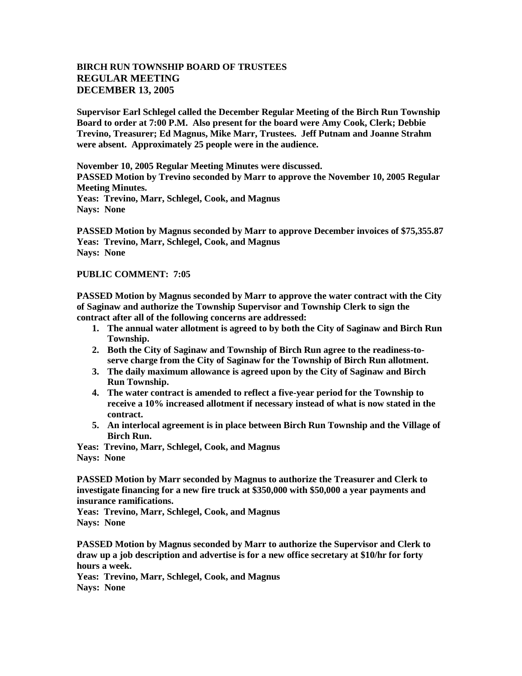## **BIRCH RUN TOWNSHIP BOARD OF TRUSTEES REGULAR MEETING DECEMBER 13, 2005**

**Supervisor Earl Schlegel called the December Regular Meeting of the Birch Run Township Board to order at 7:00 P.M. Also present for the board were Amy Cook, Clerk; Debbie Trevino, Treasurer; Ed Magnus, Mike Marr, Trustees. Jeff Putnam and Joanne Strahm were absent. Approximately 25 people were in the audience.** 

**November 10, 2005 Regular Meeting Minutes were discussed.**

**PASSED Motion by Trevino seconded by Marr to approve the November 10, 2005 Regular Meeting Minutes.**

**Yeas: Trevino, Marr, Schlegel, Cook, and Magnus Nays: None** 

**PASSED Motion by Magnus seconded by Marr to approve December invoices of \$75,355.87 Yeas: Trevino, Marr, Schlegel, Cook, and Magnus Nays: None**

## **PUBLIC COMMENT: 7:05**

**PASSED Motion by Magnus seconded by Marr to approve the water contract with the City of Saginaw and authorize the Township Supervisor and Township Clerk to sign the contract after all of the following concerns are addressed:**

- **1. The annual water allotment is agreed to by both the City of Saginaw and Birch Run Township.**
- **2. Both the City of Saginaw and Township of Birch Run agree to the readiness-toserve charge from the City of Saginaw for the Township of Birch Run allotment.**
- **3. The daily maximum allowance is agreed upon by the City of Saginaw and Birch Run Township.**
- **4. The water contract is amended to reflect a five-year period for the Township to receive a 10% increased allotment if necessary instead of what is now stated in the contract.**
- **5. An interlocal agreement is in place between Birch Run Township and the Village of Birch Run.**

**Yeas: Trevino, Marr, Schlegel, Cook, and Magnus**

**Nays: None**

**PASSED Motion by Marr seconded by Magnus to authorize the Treasurer and Clerk to investigate financing for a new fire truck at \$350,000 with \$50,000 a year payments and insurance ramifications.**

**Yeas: Trevino, Marr, Schlegel, Cook, and Magnus Nays: None**

**PASSED Motion by Magnus seconded by Marr to authorize the Supervisor and Clerk to draw up a job description and advertise is for a new office secretary at \$10/hr for forty hours a week.**

**Yeas: Trevino, Marr, Schlegel, Cook, and Magnus Nays: None**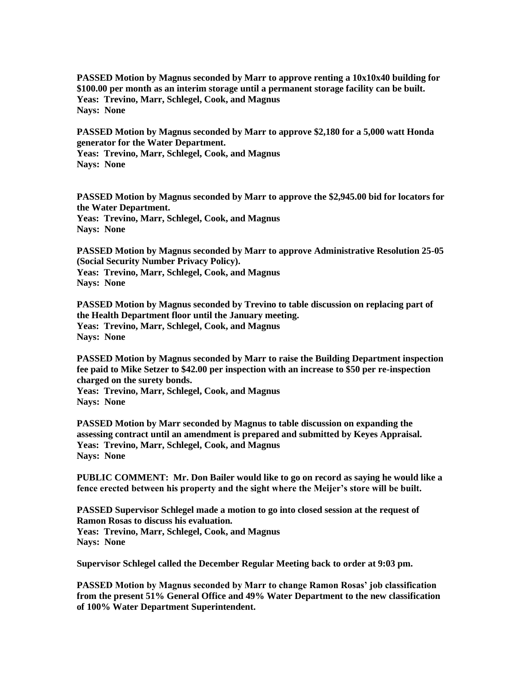**PASSED Motion by Magnus seconded by Marr to approve renting a 10x10x40 building for \$100.00 per month as an interim storage until a permanent storage facility can be built. Yeas: Trevino, Marr, Schlegel, Cook, and Magnus Nays: None**

**PASSED Motion by Magnus seconded by Marr to approve \$2,180 for a 5,000 watt Honda generator for the Water Department. Yeas: Trevino, Marr, Schlegel, Cook, and Magnus**

**Nays: None**

**PASSED Motion by Magnus seconded by Marr to approve the \$2,945.00 bid for locators for the Water Department. Yeas: Trevino, Marr, Schlegel, Cook, and Magnus**

**Nays: None**

**PASSED Motion by Magnus seconded by Marr to approve Administrative Resolution 25-05 (Social Security Number Privacy Policy).**

**Yeas: Trevino, Marr, Schlegel, Cook, and Magnus Nays: None**

**PASSED Motion by Magnus seconded by Trevino to table discussion on replacing part of the Health Department floor until the January meeting. Yeas: Trevino, Marr, Schlegel, Cook, and Magnus Nays: None**

**PASSED Motion by Magnus seconded by Marr to raise the Building Department inspection fee paid to Mike Setzer to \$42.00 per inspection with an increase to \$50 per re-inspection charged on the surety bonds.**

**Yeas: Trevino, Marr, Schlegel, Cook, and Magnus Nays: None**

**PASSED Motion by Marr seconded by Magnus to table discussion on expanding the assessing contract until an amendment is prepared and submitted by Keyes Appraisal. Yeas: Trevino, Marr, Schlegel, Cook, and Magnus Nays: None**

**PUBLIC COMMENT: Mr. Don Bailer would like to go on record as saying he would like a fence erected between his property and the sight where the Meijer's store will be built.** 

**PASSED Supervisor Schlegel made a motion to go into closed session at the request of Ramon Rosas to discuss his evaluation. Yeas: Trevino, Marr, Schlegel, Cook, and Magnus Nays: None**

**Supervisor Schlegel called the December Regular Meeting back to order at 9:03 pm.** 

**PASSED Motion by Magnus seconded by Marr to change Ramon Rosas' job classification from the present 51% General Office and 49% Water Department to the new classification of 100% Water Department Superintendent.**